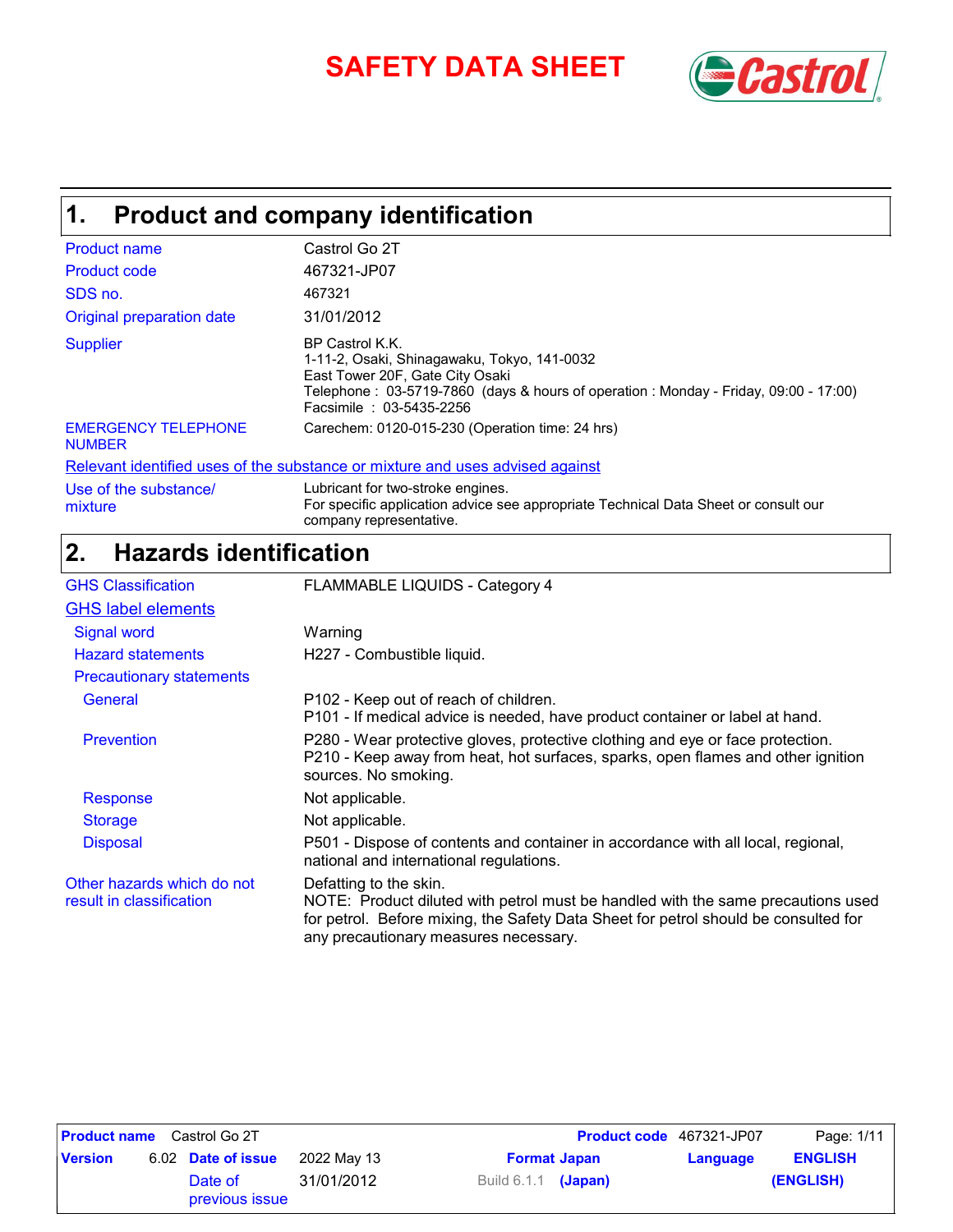# **SAFETY DATA SHEET** *SAFETY*



## **Product and company identification 1.**

| <b>Product name</b>                         | Castrol Go 2T                                                                                                                                                                                                       |
|---------------------------------------------|---------------------------------------------------------------------------------------------------------------------------------------------------------------------------------------------------------------------|
| <b>Product code</b>                         | 467321-JP07                                                                                                                                                                                                         |
| SDS no.                                     | 467321                                                                                                                                                                                                              |
| Original preparation date                   | 31/01/2012                                                                                                                                                                                                          |
| <b>Supplier</b>                             | BP Castrol K.K.<br>1-11-2, Osaki, Shinagawaku, Tokyo, 141-0032<br>East Tower 20F, Gate City Osaki<br>Telephone: 03-5719-7860 (days & hours of operation: Monday - Friday, 09:00 - 17:00)<br>Facsimile: 03-5435-2256 |
| <b>EMERGENCY TELEPHONE</b><br><b>NUMBER</b> | Carechem: 0120-015-230 (Operation time: 24 hrs)                                                                                                                                                                     |
|                                             | Relevant identified uses of the substance or mixture and uses advised against                                                                                                                                       |
| Use of the substance/                       | Lubricant for two-stroke engines.                                                                                                                                                                                   |

For specific application advice see appropriate Technical Data Sheet or consult our

### company representative. **Hazards identification 2.**

mixture

| <b>GHS Classification</b>                              | <b>FLAMMABLE LIQUIDS - Category 4</b>                                                                                                                                                                                                      |
|--------------------------------------------------------|--------------------------------------------------------------------------------------------------------------------------------------------------------------------------------------------------------------------------------------------|
| <b>GHS label elements</b>                              |                                                                                                                                                                                                                                            |
| <b>Signal word</b>                                     | Warning                                                                                                                                                                                                                                    |
| <b>Hazard statements</b>                               | H227 - Combustible liquid.                                                                                                                                                                                                                 |
| <b>Precautionary statements</b>                        |                                                                                                                                                                                                                                            |
| General                                                | P102 - Keep out of reach of children.<br>P101 - If medical advice is needed, have product container or label at hand.                                                                                                                      |
| <b>Prevention</b>                                      | P280 - Wear protective gloves, protective clothing and eye or face protection.<br>P210 - Keep away from heat, hot surfaces, sparks, open flames and other ignition<br>sources. No smoking.                                                 |
| Response                                               | Not applicable.                                                                                                                                                                                                                            |
| <b>Storage</b>                                         | Not applicable.                                                                                                                                                                                                                            |
| <b>Disposal</b>                                        | P501 - Dispose of contents and container in accordance with all local, regional,<br>national and international regulations.                                                                                                                |
| Other hazards which do not<br>result in classification | Defatting to the skin.<br>NOTE: Product diluted with petrol must be handled with the same precautions used<br>for petrol. Before mixing, the Safety Data Sheet for petrol should be consulted for<br>any precautionary measures necessary. |

| <b>Product name</b> Castrol Go 2T |  |                           |             |                       | <b>Product code</b> 467321-JP07 | Page: 1/11 |                |
|-----------------------------------|--|---------------------------|-------------|-----------------------|---------------------------------|------------|----------------|
| <b>Version</b>                    |  | 6.02 Date of issue        | 2022 Mav 13 |                       | <b>Format Japan</b>             | Language   | <b>ENGLISH</b> |
|                                   |  | Date of<br>previous issue | 31/01/2012  | Build $6.1.1$ (Japan) |                                 |            | (ENGLISH)      |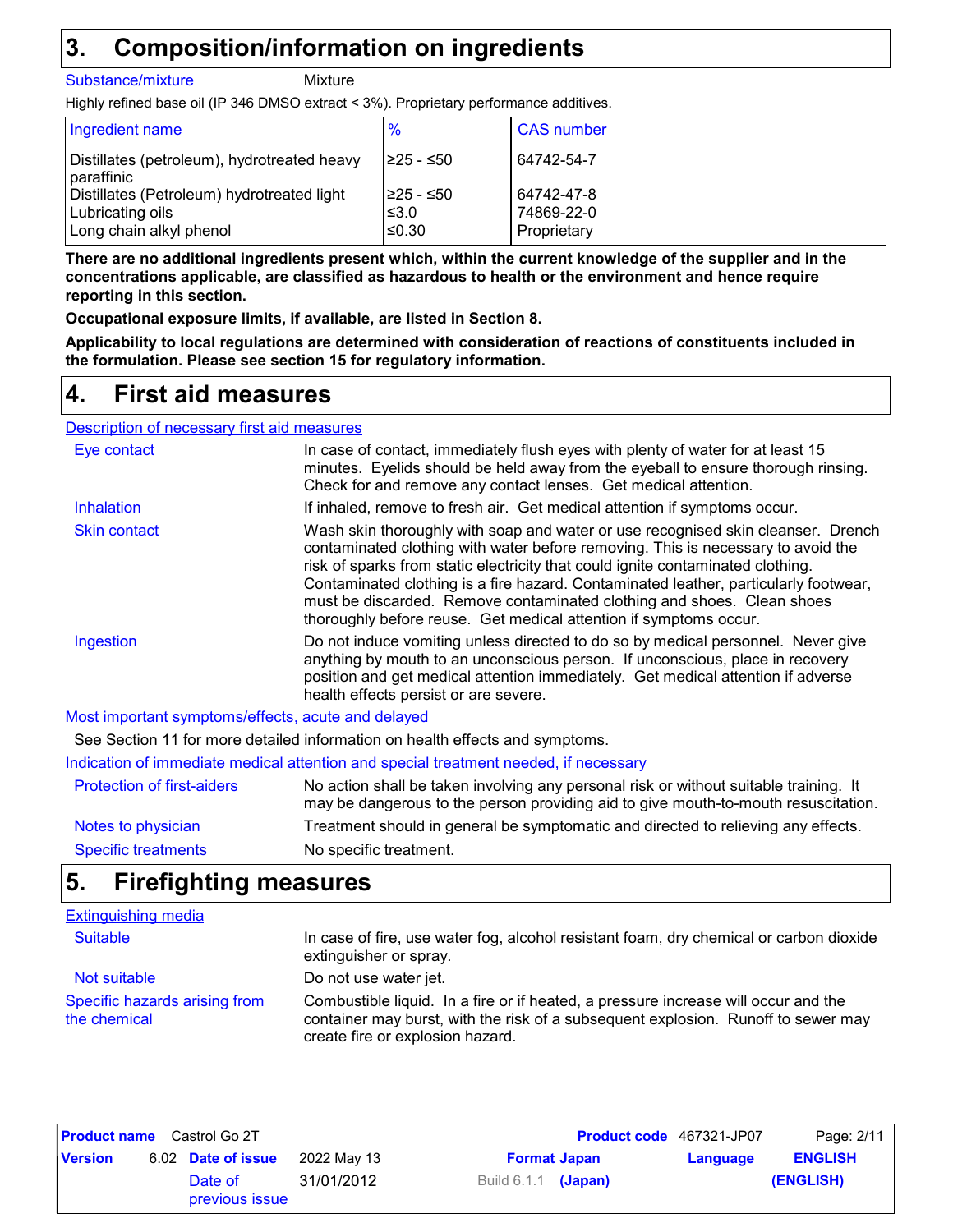## **Composition/information on ingredients 3.**

#### Substance/mixture Mixture

Highly refined base oil (IP 346 DMSO extract < 3%). Proprietary performance additives.

| Ingredient name                                             | $\%$       | <b>CAS</b> number |
|-------------------------------------------------------------|------------|-------------------|
| Distillates (petroleum), hydrotreated heavy<br>l paraffinic | I≥25 - ≤50 | 64742-54-7        |
| Distillates (Petroleum) hydrotreated light                  | I≥25 - ≤50 | 64742-47-8        |
| Lubricating oils                                            | ≤3.0       | 74869-22-0        |
| Long chain alkyl phenol                                     | ≤0.30      | Proprietary       |

**There are no additional ingredients present which, within the current knowledge of the supplier and in the concentrations applicable, are classified as hazardous to health or the environment and hence require reporting in this section.**

**Occupational exposure limits, if available, are listed in Section 8.**

**Applicability to local regulations are determined with consideration of reactions of constituents included in the formulation. Please see section 15 for regulatory information.**

## **First aid measures 4.**

Description of necessary first aid measures

| Eye contact                                        | In case of contact, immediately flush eyes with plenty of water for at least 15<br>minutes. Eyelids should be held away from the eyeball to ensure thorough rinsing.<br>Check for and remove any contact lenses. Get medical attention.                                                                                                                                                                                                                                                        |
|----------------------------------------------------|------------------------------------------------------------------------------------------------------------------------------------------------------------------------------------------------------------------------------------------------------------------------------------------------------------------------------------------------------------------------------------------------------------------------------------------------------------------------------------------------|
| <b>Inhalation</b>                                  | If inhaled, remove to fresh air. Get medical attention if symptoms occur.                                                                                                                                                                                                                                                                                                                                                                                                                      |
| <b>Skin contact</b>                                | Wash skin thoroughly with soap and water or use recognised skin cleanser. Drench<br>contaminated clothing with water before removing. This is necessary to avoid the<br>risk of sparks from static electricity that could ignite contaminated clothing.<br>Contaminated clothing is a fire hazard. Contaminated leather, particularly footwear,<br>must be discarded. Remove contaminated clothing and shoes. Clean shoes<br>thoroughly before reuse. Get medical attention if symptoms occur. |
| Ingestion                                          | Do not induce vomiting unless directed to do so by medical personnel. Never give<br>anything by mouth to an unconscious person. If unconscious, place in recovery<br>position and get medical attention immediately. Get medical attention if adverse<br>health effects persist or are severe.                                                                                                                                                                                                 |
| Most important symptoms/effects, acute and delayed |                                                                                                                                                                                                                                                                                                                                                                                                                                                                                                |
|                                                    | See Section 11 for more detailed information on health effects and symptoms.                                                                                                                                                                                                                                                                                                                                                                                                                   |
|                                                    | Indication of immediate medical attention and special treatment needed, if necessary                                                                                                                                                                                                                                                                                                                                                                                                           |

| <b>Protection of first-aiders</b> | No action shall be taken involving any personal risk or without suitable training. It<br>may be dangerous to the person providing aid to give mouth-to-mouth resuscitation. |
|-----------------------------------|-----------------------------------------------------------------------------------------------------------------------------------------------------------------------------|
| Notes to physician                | Treatment should in general be symptomatic and directed to relieving any effects.                                                                                           |
| Specific treatments               | No specific treatment.                                                                                                                                                      |

## **Firefighting measures 5.**

| <b>Extinguishing media</b>                    |                                                                                                                                                                                                             |
|-----------------------------------------------|-------------------------------------------------------------------------------------------------------------------------------------------------------------------------------------------------------------|
| <b>Suitable</b>                               | In case of fire, use water fog, alcohol resistant foam, dry chemical or carbon dioxide<br>extinguisher or spray.                                                                                            |
| Not suitable                                  | Do not use water jet.                                                                                                                                                                                       |
| Specific hazards arising from<br>the chemical | Combustible liquid. In a fire or if heated, a pressure increase will occur and the<br>container may burst, with the risk of a subsequent explosion. Runoff to sewer may<br>create fire or explosion hazard. |

| <b>Product name</b> Castrol Go 2T |  |                           |             |                       | <b>Product code</b> 467321-JP07 | Page: 2/11 |                |
|-----------------------------------|--|---------------------------|-------------|-----------------------|---------------------------------|------------|----------------|
| <b>Version</b>                    |  | 6.02 Date of issue        | 2022 May 13 |                       | <b>Format Japan</b>             | Language   | <b>ENGLISH</b> |
|                                   |  | Date of<br>previous issue | 31/01/2012  | Build $6.1.1$ (Japan) |                                 |            | (ENGLISH)      |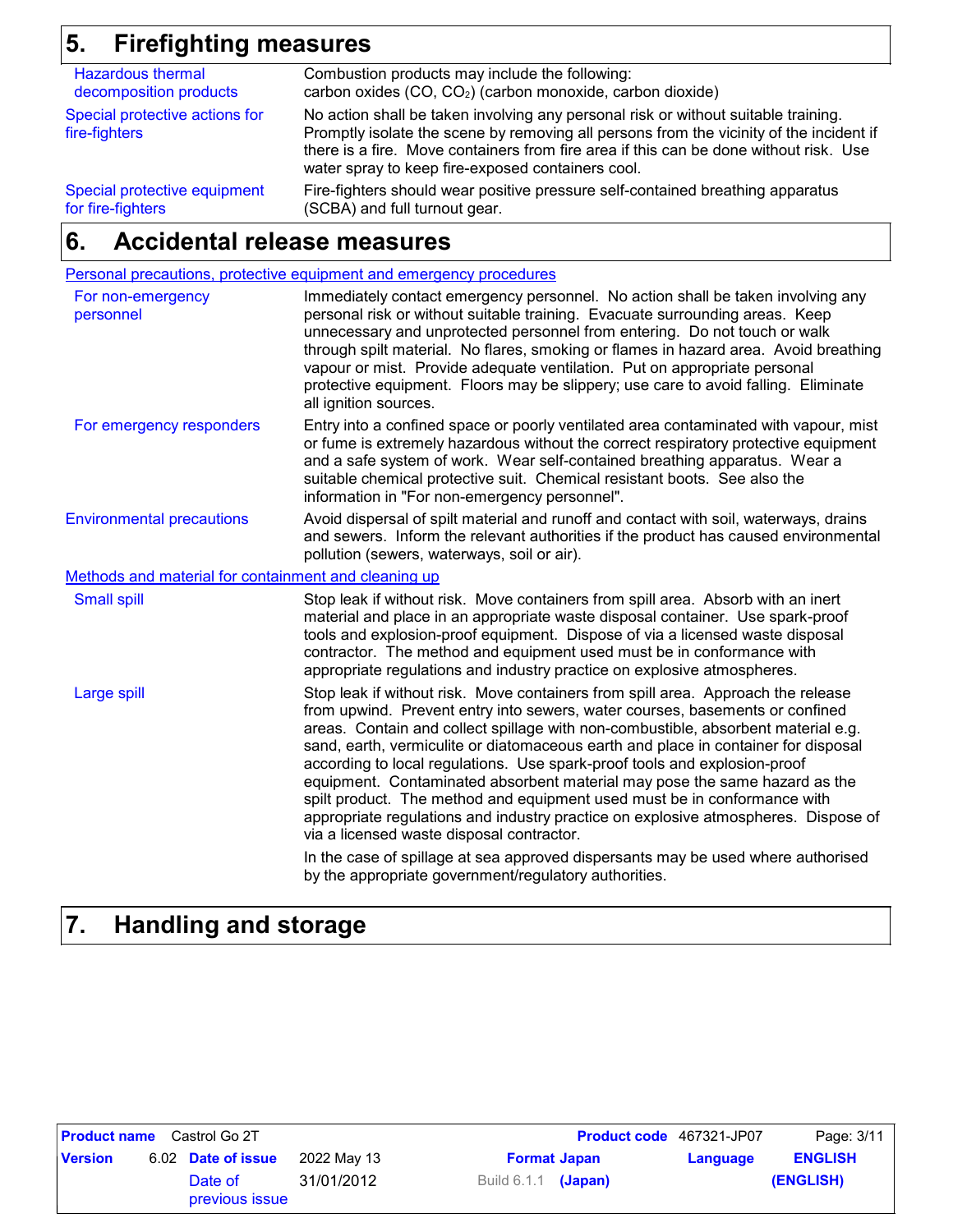## **5. Firefighting measures**

| <b>Hazardous thermal</b>                        | Combustion products may include the following:                                                                                                                                                                                                                                                                              |
|-------------------------------------------------|-----------------------------------------------------------------------------------------------------------------------------------------------------------------------------------------------------------------------------------------------------------------------------------------------------------------------------|
| decomposition products                          | carbon oxides (CO, CO <sub>2</sub> ) (carbon monoxide, carbon dioxide)                                                                                                                                                                                                                                                      |
| Special protective actions for<br>fire-fighters | No action shall be taken involving any personal risk or without suitable training.<br>Promptly isolate the scene by removing all persons from the vicinity of the incident if<br>there is a fire. Move containers from fire area if this can be done without risk. Use<br>water spray to keep fire-exposed containers cool. |
| Special protective equipment                    | Fire-fighters should wear positive pressure self-contained breathing apparatus                                                                                                                                                                                                                                              |
| for fire-fighters                               | (SCBA) and full turnout gear.                                                                                                                                                                                                                                                                                               |

### **Accidental release measures 6.**

| Personal precautions, protective equipment and emergency procedures                                                                                                                                                                                                                                                                                                                                                                                                                                                                                                                                                                                                                                                                                                                                                                                                |
|--------------------------------------------------------------------------------------------------------------------------------------------------------------------------------------------------------------------------------------------------------------------------------------------------------------------------------------------------------------------------------------------------------------------------------------------------------------------------------------------------------------------------------------------------------------------------------------------------------------------------------------------------------------------------------------------------------------------------------------------------------------------------------------------------------------------------------------------------------------------|
| Immediately contact emergency personnel. No action shall be taken involving any<br>personal risk or without suitable training. Evacuate surrounding areas. Keep<br>unnecessary and unprotected personnel from entering. Do not touch or walk<br>through spilt material. No flares, smoking or flames in hazard area. Avoid breathing<br>vapour or mist. Provide adequate ventilation. Put on appropriate personal<br>protective equipment. Floors may be slippery; use care to avoid falling. Eliminate<br>all ignition sources.                                                                                                                                                                                                                                                                                                                                   |
| Entry into a confined space or poorly ventilated area contaminated with vapour, mist<br>or fume is extremely hazardous without the correct respiratory protective equipment<br>and a safe system of work. Wear self-contained breathing apparatus. Wear a<br>suitable chemical protective suit. Chemical resistant boots. See also the<br>information in "For non-emergency personnel".                                                                                                                                                                                                                                                                                                                                                                                                                                                                            |
| Avoid dispersal of spilt material and runoff and contact with soil, waterways, drains<br>and sewers. Inform the relevant authorities if the product has caused environmental<br>pollution (sewers, waterways, soil or air).                                                                                                                                                                                                                                                                                                                                                                                                                                                                                                                                                                                                                                        |
| Methods and material for containment and cleaning up                                                                                                                                                                                                                                                                                                                                                                                                                                                                                                                                                                                                                                                                                                                                                                                                               |
| Stop leak if without risk. Move containers from spill area. Absorb with an inert<br>material and place in an appropriate waste disposal container. Use spark-proof<br>tools and explosion-proof equipment. Dispose of via a licensed waste disposal<br>contractor. The method and equipment used must be in conformance with<br>appropriate regulations and industry practice on explosive atmospheres.                                                                                                                                                                                                                                                                                                                                                                                                                                                            |
| Stop leak if without risk. Move containers from spill area. Approach the release<br>from upwind. Prevent entry into sewers, water courses, basements or confined<br>areas. Contain and collect spillage with non-combustible, absorbent material e.g.<br>sand, earth, vermiculite or diatomaceous earth and place in container for disposal<br>according to local regulations. Use spark-proof tools and explosion-proof<br>equipment. Contaminated absorbent material may pose the same hazard as the<br>spilt product. The method and equipment used must be in conformance with<br>appropriate regulations and industry practice on explosive atmospheres. Dispose of<br>via a licensed waste disposal contractor.<br>In the case of spillage at sea approved dispersants may be used where authorised<br>by the appropriate government/regulatory authorities. |
|                                                                                                                                                                                                                                                                                                                                                                                                                                                                                                                                                                                                                                                                                                                                                                                                                                                                    |

## **7. Handling and storage**

| <b>Product name</b> | Castrol Go 2T             |             |                     | <b>Product code</b> 467321-JP07 |          | Page: 3/11     |
|---------------------|---------------------------|-------------|---------------------|---------------------------------|----------|----------------|
| <b>Version</b>      | 6.02 Date of issue        | 2022 May 13 |                     | <b>Format Japan</b>             | Language | <b>ENGLISH</b> |
|                     | Date of<br>previous issue | 31/01/2012  | Build 6.1.1 (Japan) |                                 |          | (ENGLISH)      |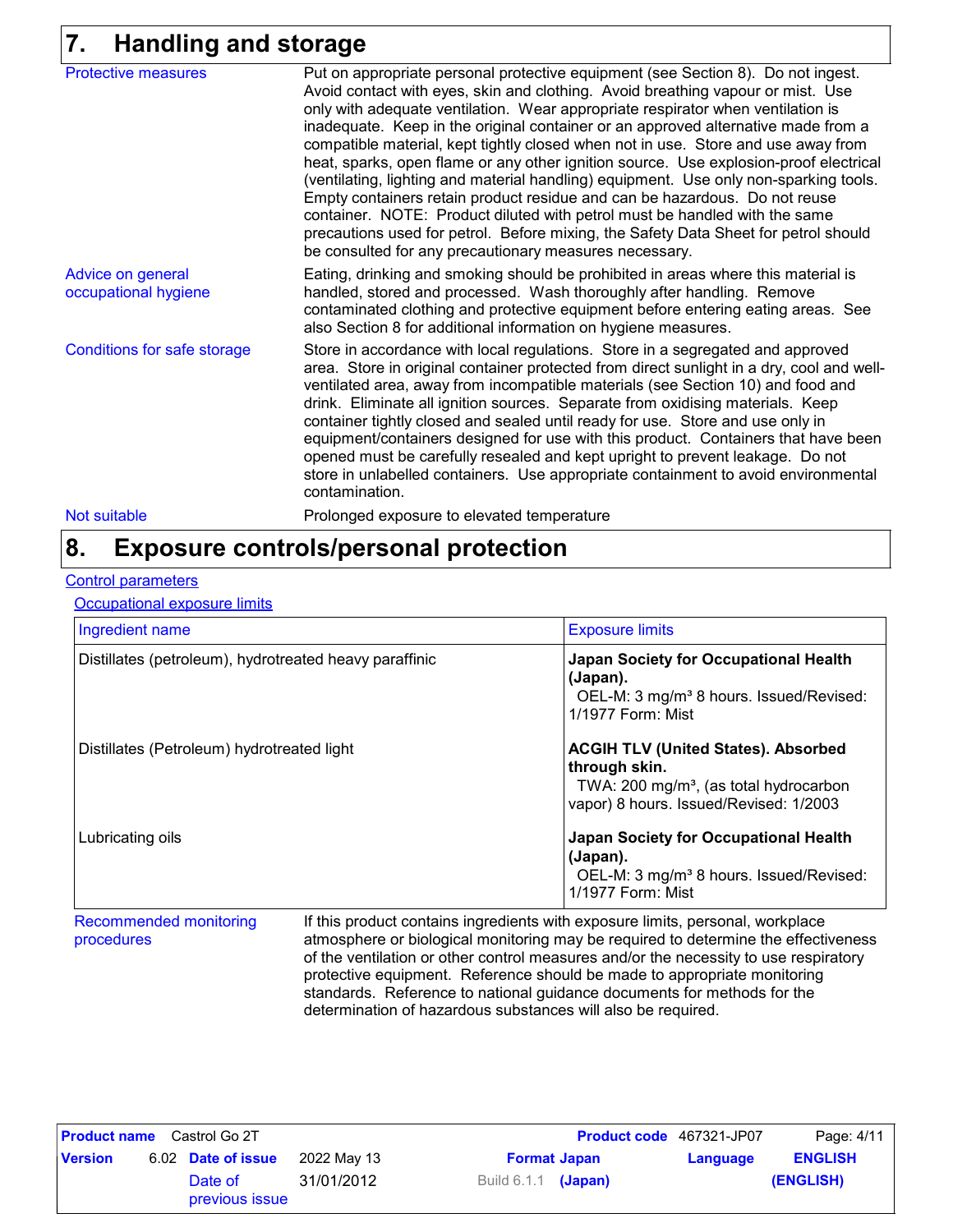## **7. Handling and storage**

| <b>Protective measures</b>                | Put on appropriate personal protective equipment (see Section 8). Do not ingest.<br>Avoid contact with eyes, skin and clothing. Avoid breathing vapour or mist. Use<br>only with adequate ventilation. Wear appropriate respirator when ventilation is<br>inadequate. Keep in the original container or an approved alternative made from a<br>compatible material, kept tightly closed when not in use. Store and use away from<br>heat, sparks, open flame or any other ignition source. Use explosion-proof electrical<br>(ventilating, lighting and material handling) equipment. Use only non-sparking tools.<br>Empty containers retain product residue and can be hazardous. Do not reuse<br>container. NOTE: Product diluted with petrol must be handled with the same<br>precautions used for petrol. Before mixing, the Safety Data Sheet for petrol should<br>be consulted for any precautionary measures necessary. |
|-------------------------------------------|---------------------------------------------------------------------------------------------------------------------------------------------------------------------------------------------------------------------------------------------------------------------------------------------------------------------------------------------------------------------------------------------------------------------------------------------------------------------------------------------------------------------------------------------------------------------------------------------------------------------------------------------------------------------------------------------------------------------------------------------------------------------------------------------------------------------------------------------------------------------------------------------------------------------------------|
| Advice on general<br>occupational hygiene | Eating, drinking and smoking should be prohibited in areas where this material is<br>handled, stored and processed. Wash thoroughly after handling. Remove<br>contaminated clothing and protective equipment before entering eating areas. See<br>also Section 8 for additional information on hygiene measures.                                                                                                                                                                                                                                                                                                                                                                                                                                                                                                                                                                                                                |
| Conditions for safe storage               | Store in accordance with local regulations. Store in a segregated and approved<br>area. Store in original container protected from direct sunlight in a dry, cool and well-<br>ventilated area, away from incompatible materials (see Section 10) and food and<br>drink. Eliminate all ignition sources. Separate from oxidising materials. Keep<br>container tightly closed and sealed until ready for use. Store and use only in<br>equipment/containers designed for use with this product. Containers that have been<br>opened must be carefully resealed and kept upright to prevent leakage. Do not<br>store in unlabelled containers. Use appropriate containment to avoid environmental<br>contamination.                                                                                                                                                                                                               |
| Not suitable                              | Prolonged exposure to elevated temperature                                                                                                                                                                                                                                                                                                                                                                                                                                                                                                                                                                                                                                                                                                                                                                                                                                                                                      |

## **Exposure controls/personal protection 8.**

#### **Control parameters**

Occupational exposure limits

| Ingredient name                                        | <b>Exposure limits</b>                                                                                                                                      |  |  |  |
|--------------------------------------------------------|-------------------------------------------------------------------------------------------------------------------------------------------------------------|--|--|--|
| Distillates (petroleum), hydrotreated heavy paraffinic | <b>Japan Society for Occupational Health</b><br>(Japan).<br>OEL-M: 3 mg/m <sup>3</sup> 8 hours. Issued/Revised:<br>1/1977 Form: Mist                        |  |  |  |
| Distillates (Petroleum) hydrotreated light             | <b>ACGIH TLV (United States). Absorbed</b><br>through skin.<br>TWA: 200 mg/m <sup>3</sup> , (as total hydrocarbon<br>vapor) 8 hours. Issued/Revised: 1/2003 |  |  |  |
| Lubricating oils                                       | <b>Japan Society for Occupational Health</b><br>(Japan).<br>OEL-M: 3 mg/m <sup>3</sup> 8 hours. Issued/Revised:<br>1/1977 Form: Mist                        |  |  |  |

Recommended monitoring procedures If this product contains ingredients with exposure limits, personal, workplace atmosphere or biological monitoring may be required to determine the effectiveness of the ventilation or other control measures and/or the necessity to use respiratory protective equipment. Reference should be made to appropriate monitoring standards. Reference to national guidance documents for methods for the determination of hazardous substances will also be required.

|                | <b>Product name</b> Castrol Go 2T |             |                       |  | <b>Product code</b> 467321-JP07 | Page: 4/11     |
|----------------|-----------------------------------|-------------|-----------------------|--|---------------------------------|----------------|
| <b>Version</b> | 6.02 Date of issue                | 2022 Mav 13 | <b>Format Japan</b>   |  | Language                        | <b>ENGLISH</b> |
|                | Date of<br>previous issue         | 31/01/2012  | Build $6.1.1$ (Japan) |  |                                 | (ENGLISH)      |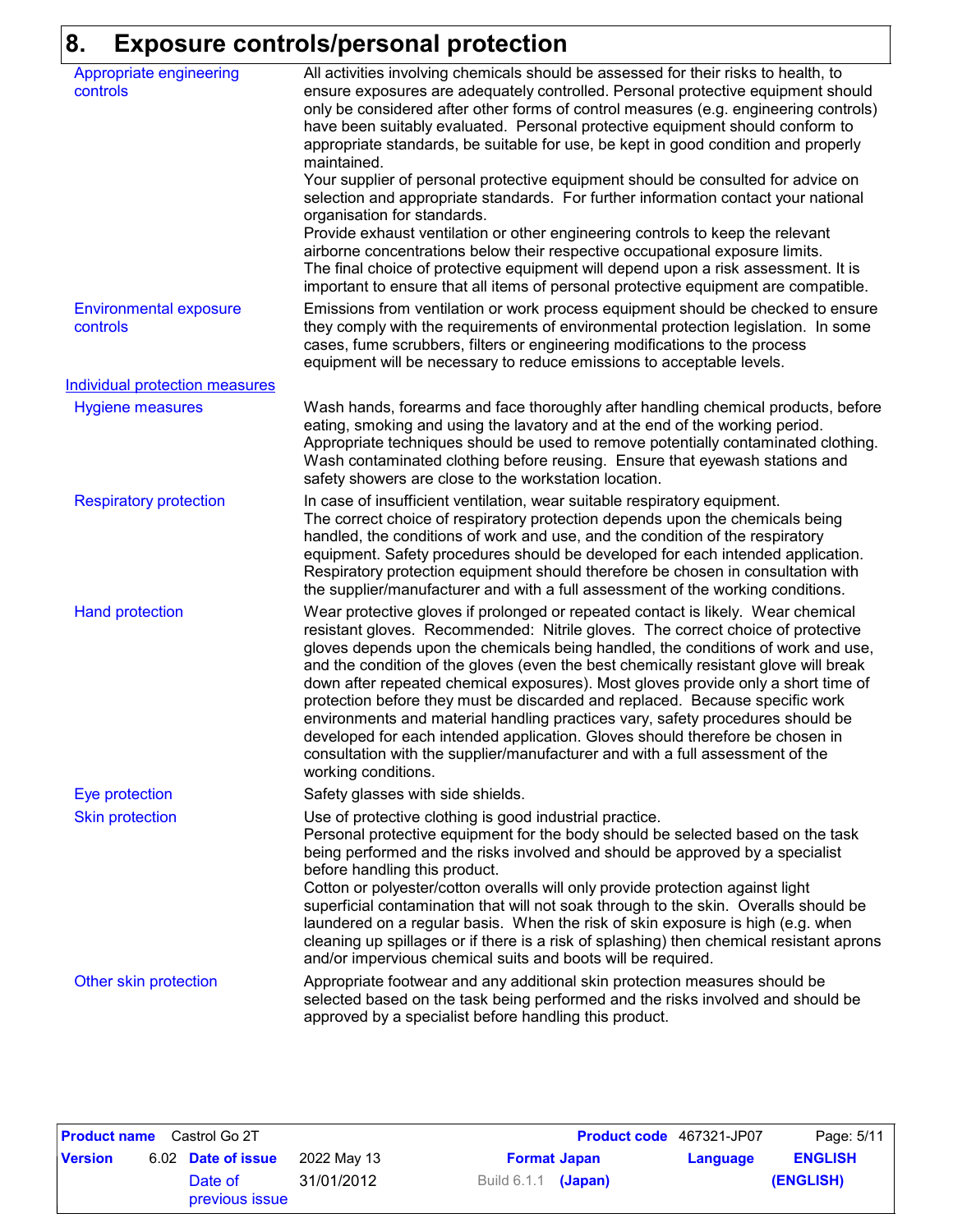## **8. Exposure controls/personal protection**

| Appropriate engineering<br>controls   | All activities involving chemicals should be assessed for their risks to health, to<br>ensure exposures are adequately controlled. Personal protective equipment should<br>only be considered after other forms of control measures (e.g. engineering controls)<br>have been suitably evaluated. Personal protective equipment should conform to<br>appropriate standards, be suitable for use, be kept in good condition and properly<br>maintained.<br>Your supplier of personal protective equipment should be consulted for advice on<br>selection and appropriate standards. For further information contact your national<br>organisation for standards.<br>Provide exhaust ventilation or other engineering controls to keep the relevant<br>airborne concentrations below their respective occupational exposure limits. |
|---------------------------------------|----------------------------------------------------------------------------------------------------------------------------------------------------------------------------------------------------------------------------------------------------------------------------------------------------------------------------------------------------------------------------------------------------------------------------------------------------------------------------------------------------------------------------------------------------------------------------------------------------------------------------------------------------------------------------------------------------------------------------------------------------------------------------------------------------------------------------------|
| <b>Environmental exposure</b>         | The final choice of protective equipment will depend upon a risk assessment. It is<br>important to ensure that all items of personal protective equipment are compatible.<br>Emissions from ventilation or work process equipment should be checked to ensure                                                                                                                                                                                                                                                                                                                                                                                                                                                                                                                                                                    |
| controls                              | they comply with the requirements of environmental protection legislation. In some<br>cases, fume scrubbers, filters or engineering modifications to the process<br>equipment will be necessary to reduce emissions to acceptable levels.                                                                                                                                                                                                                                                                                                                                                                                                                                                                                                                                                                                        |
| <b>Individual protection measures</b> |                                                                                                                                                                                                                                                                                                                                                                                                                                                                                                                                                                                                                                                                                                                                                                                                                                  |
| <b>Hygiene measures</b>               | Wash hands, forearms and face thoroughly after handling chemical products, before<br>eating, smoking and using the lavatory and at the end of the working period.<br>Appropriate techniques should be used to remove potentially contaminated clothing.<br>Wash contaminated clothing before reusing. Ensure that eyewash stations and<br>safety showers are close to the workstation location.                                                                                                                                                                                                                                                                                                                                                                                                                                  |
| <b>Respiratory protection</b>         | In case of insufficient ventilation, wear suitable respiratory equipment.<br>The correct choice of respiratory protection depends upon the chemicals being<br>handled, the conditions of work and use, and the condition of the respiratory<br>equipment. Safety procedures should be developed for each intended application.<br>Respiratory protection equipment should therefore be chosen in consultation with<br>the supplier/manufacturer and with a full assessment of the working conditions.                                                                                                                                                                                                                                                                                                                            |
| <b>Hand protection</b>                | Wear protective gloves if prolonged or repeated contact is likely. Wear chemical<br>resistant gloves. Recommended: Nitrile gloves. The correct choice of protective<br>gloves depends upon the chemicals being handled, the conditions of work and use,<br>and the condition of the gloves (even the best chemically resistant glove will break<br>down after repeated chemical exposures). Most gloves provide only a short time of<br>protection before they must be discarded and replaced. Because specific work<br>environments and material handling practices vary, safety procedures should be<br>developed for each intended application. Gloves should therefore be chosen in<br>consultation with the supplier/manufacturer and with a full assessment of the<br>working conditions.                                  |
| Eye protection                        | Safety glasses with side shields.                                                                                                                                                                                                                                                                                                                                                                                                                                                                                                                                                                                                                                                                                                                                                                                                |
| <b>Skin protection</b>                | Use of protective clothing is good industrial practice.<br>Personal protective equipment for the body should be selected based on the task<br>being performed and the risks involved and should be approved by a specialist<br>before handling this product.<br>Cotton or polyester/cotton overalls will only provide protection against light<br>superficial contamination that will not soak through to the skin. Overalls should be<br>laundered on a regular basis. When the risk of skin exposure is high (e.g. when<br>cleaning up spillages or if there is a risk of splashing) then chemical resistant aprons<br>and/or impervious chemical suits and boots will be required.                                                                                                                                            |
| Other skin protection                 | Appropriate footwear and any additional skin protection measures should be<br>selected based on the task being performed and the risks involved and should be<br>approved by a specialist before handling this product.                                                                                                                                                                                                                                                                                                                                                                                                                                                                                                                                                                                                          |

|                | <b>Product name</b> Castrol Go 2T |             |                       |  | <b>Product code</b> 467321-JP07 | Page: 5/11     |
|----------------|-----------------------------------|-------------|-----------------------|--|---------------------------------|----------------|
| <b>Version</b> | 6.02 Date of issue                | 2022 Mav 13 | <b>Format Japan</b>   |  | Language                        | <b>ENGLISH</b> |
|                | Date of<br>previous issue         | 31/01/2012  | Build $6.1.1$ (Japan) |  |                                 | (ENGLISH)      |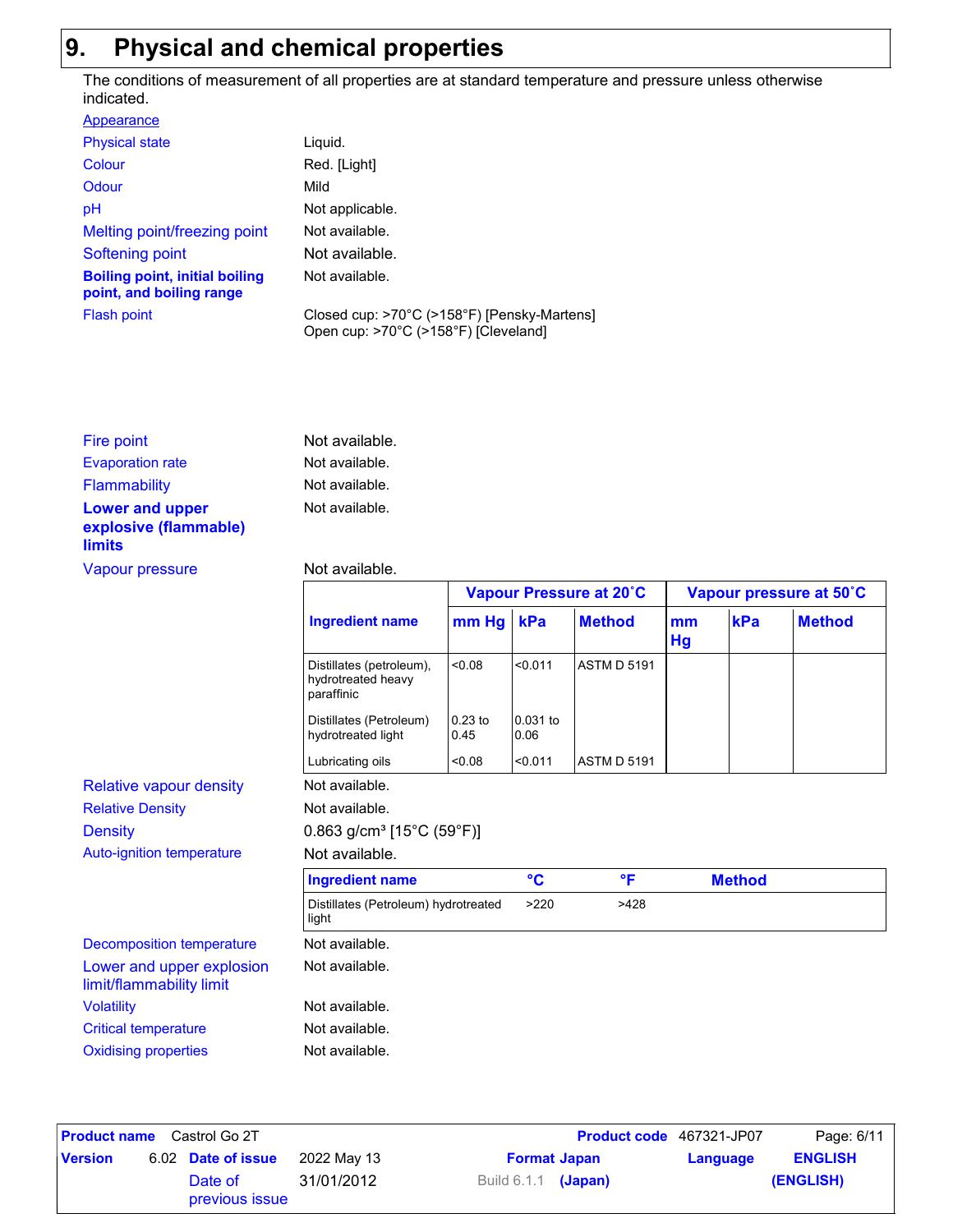## **9. Physical and chemical properties**

The conditions of measurement of all properties are at standard temperature and pressure unless otherwise indicated.

| Appearance                                                        |                                                                                     |
|-------------------------------------------------------------------|-------------------------------------------------------------------------------------|
| <b>Physical state</b>                                             | Liguid.                                                                             |
| Colour                                                            | Red. [Light]                                                                        |
| Odour                                                             | Mild                                                                                |
| pH                                                                | Not applicable.                                                                     |
| Melting point/freezing point                                      | Not available.                                                                      |
| Softening point                                                   | Not available.                                                                      |
| <b>Boiling point, initial boiling</b><br>point, and boiling range | Not available.                                                                      |
| <b>Flash point</b>                                                | Closed cup: >70°C (>158°F) [Pensky-Martens]<br>Open cup: >70°C (>158°F) [Cleveland] |

| Fire point                                                       | Not available. |
|------------------------------------------------------------------|----------------|
| <b>Evaporation rate</b>                                          | Not available. |
| Flammability                                                     | Not available. |
| <b>Lower and upper</b><br>explosive (flammable)<br><b>limits</b> | Not available. |

#### Vapour pressure Not available.

|                                                       |                                                              |                   | Vapour Pressure at 20°C |                    |          | Vapour pressure at 50°C |               |  |
|-------------------------------------------------------|--------------------------------------------------------------|-------------------|-------------------------|--------------------|----------|-------------------------|---------------|--|
|                                                       | <b>Ingredient name</b>                                       | mm Hg             | kPa                     | <b>Method</b>      | mm<br>Hg | kPa                     | <b>Method</b> |  |
|                                                       | Distillates (petroleum),<br>hydrotreated heavy<br>paraffinic | 80.08             | < 0.011                 | <b>ASTM D 5191</b> |          |                         |               |  |
|                                                       | Distillates (Petroleum)<br>hydrotreated light                | $0.23$ to<br>0.45 | 0.031 to<br>0.06        |                    |          |                         |               |  |
|                                                       | Lubricating oils                                             | 0.08              | < 0.011                 | <b>ASTM D 5191</b> |          |                         |               |  |
| <b>Relative vapour density</b>                        | Not available.                                               |                   |                         |                    |          |                         |               |  |
| <b>Relative Density</b>                               | Not available.                                               |                   |                         |                    |          |                         |               |  |
| <b>Density</b>                                        | $0.863$ g/cm <sup>3</sup> [15°C (59°F)]                      |                   |                         |                    |          |                         |               |  |
| Auto-ignition temperature                             | Not available.                                               |                   |                         |                    |          |                         |               |  |
|                                                       | <b>Ingredient name</b>                                       |                   | $\rm ^{\circ}C$         | $^{\circ}$ F       |          | <b>Method</b>           |               |  |
|                                                       | Distillates (Petroleum) hydrotreated<br>light                |                   | >220                    | >428               |          |                         |               |  |
| <b>Decomposition temperature</b>                      | Not available.                                               |                   |                         |                    |          |                         |               |  |
| Lower and upper explosion<br>limit/flammability limit | Not available.                                               |                   |                         |                    |          |                         |               |  |
| <b>Volatility</b>                                     | Not available.                                               |                   |                         |                    |          |                         |               |  |
| <b>Critical temperature</b>                           | Not available.                                               |                   |                         |                    |          |                         |               |  |
| <b>Oxidising properties</b>                           | Not available.                                               |                   |                         |                    |          |                         |               |  |

| <b>Product name</b><br>Castrol Go 2T |  |                           |             | <b>Product code</b> 467321-JP07 |                     | Page: 6/11 |                |
|--------------------------------------|--|---------------------------|-------------|---------------------------------|---------------------|------------|----------------|
| <b>Version</b>                       |  | 6.02 Date of issue        | 2022 May 13 |                                 | <b>Format Japan</b> | Language   | <b>ENGLISH</b> |
|                                      |  | Date of<br>previous issue | 31/01/2012  | Build 6.1.1 <b>(Japan)</b>      |                     |            | (ENGLISH)      |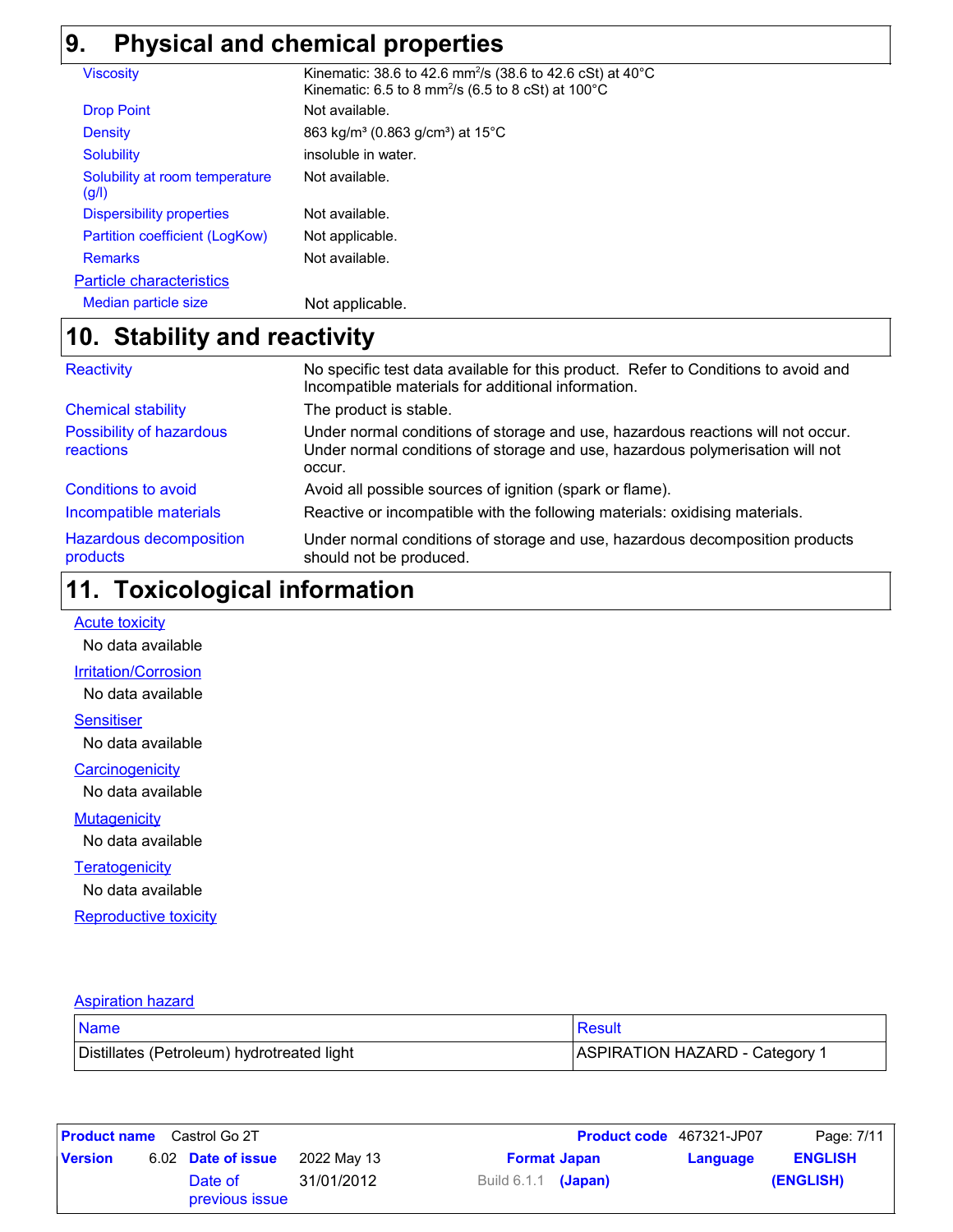## **9. Physical and chemical properties**

| <b>Viscosity</b>                        | Kinematic: 38.6 to 42.6 mm <sup>2</sup> /s (38.6 to 42.6 cSt) at 40 $^{\circ}$ C<br>Kinematic: 6.5 to 8 mm <sup>2</sup> /s (6.5 to 8 cSt) at $100^{\circ}$ C |
|-----------------------------------------|--------------------------------------------------------------------------------------------------------------------------------------------------------------|
| <b>Drop Point</b>                       | Not available.                                                                                                                                               |
| <b>Density</b>                          | 863 kg/m <sup>3</sup> (0.863 g/cm <sup>3</sup> ) at 15°C                                                                                                     |
| <b>Solubility</b>                       | insoluble in water.                                                                                                                                          |
| Solubility at room temperature<br>(g/l) | Not available.                                                                                                                                               |
| <b>Dispersibility properties</b>        | Not available.                                                                                                                                               |
| Partition coefficient (LogKow)          | Not applicable.                                                                                                                                              |
| <b>Remarks</b>                          | Not available.                                                                                                                                               |
| <b>Particle characteristics</b>         |                                                                                                                                                              |
| Median particle size                    | Not applicable.                                                                                                                                              |

## **Stability and reactivity 10.**

| Reactivity                                 | No specific test data available for this product. Refer to Conditions to avoid and<br>Incompatible materials for additional information.                                   |
|--------------------------------------------|----------------------------------------------------------------------------------------------------------------------------------------------------------------------------|
| <b>Chemical stability</b>                  | The product is stable.                                                                                                                                                     |
| Possibility of hazardous<br>reactions      | Under normal conditions of storage and use, hazardous reactions will not occur.<br>Under normal conditions of storage and use, hazardous polymerisation will not<br>occur. |
| Conditions to avoid                        | Avoid all possible sources of ignition (spark or flame).                                                                                                                   |
| Incompatible materials                     | Reactive or incompatible with the following materials: oxidising materials.                                                                                                |
| <b>Hazardous decomposition</b><br>products | Under normal conditions of storage and use, hazardous decomposition products<br>should not be produced.                                                                    |

## **Toxicological information 11.**

**Acute toxicity** 

No data available

#### **Irritation/Corrosion**

No data available

**Sensitiser** 

No data available

**Carcinogenicity** 

No data available

#### **Mutagenicity**

No data available

#### **Teratogenicity**

No data available

**Reproductive toxicity** 

#### Aspiration hazard

| <b>Name</b>                                | Result                         |
|--------------------------------------------|--------------------------------|
| Distillates (Petroleum) hydrotreated light | ASPIRATION HAZARD - Category 1 |

|                | <b>Product name</b> Castrol Go 2T |             |                       |  | <b>Product code</b> 467321-JP07 | Page: 7/11     |
|----------------|-----------------------------------|-------------|-----------------------|--|---------------------------------|----------------|
| <b>Version</b> | 6.02 Date of issue                | 2022 May 13 | <b>Format Japan</b>   |  | Language                        | <b>ENGLISH</b> |
|                | Date of<br>previous issue         | 31/01/2012  | Build $6.1.1$ (Japan) |  |                                 | (ENGLISH)      |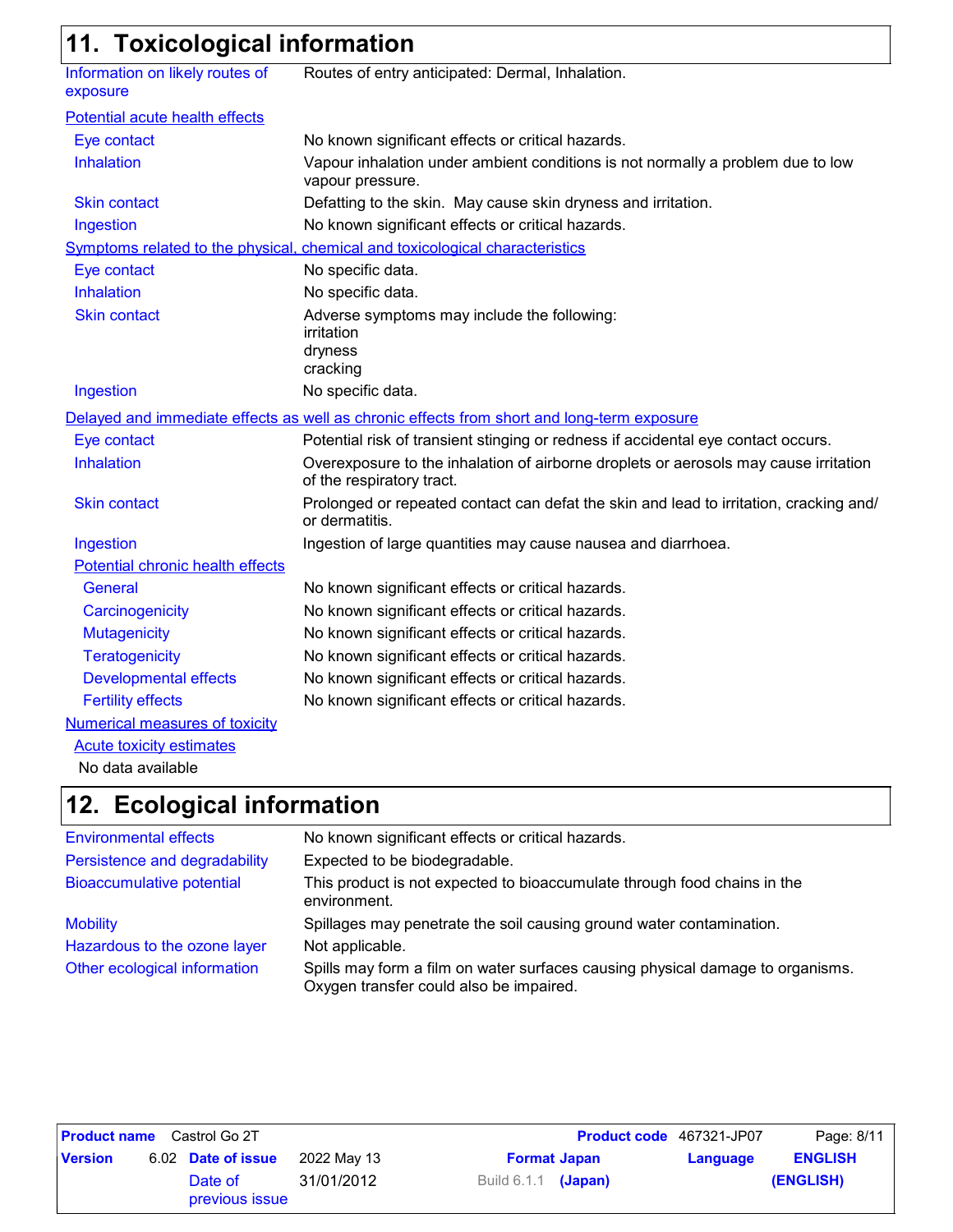## **11. Toxicological information**

| ,,,,,,,,                                    |                                                                                                                   |
|---------------------------------------------|-------------------------------------------------------------------------------------------------------------------|
| Information on likely routes of<br>exposure | Routes of entry anticipated: Dermal, Inhalation.                                                                  |
| Potential acute health effects              |                                                                                                                   |
| Eye contact                                 | No known significant effects or critical hazards.                                                                 |
| Inhalation                                  | Vapour inhalation under ambient conditions is not normally a problem due to low<br>vapour pressure.               |
| <b>Skin contact</b>                         | Defatting to the skin. May cause skin dryness and irritation.                                                     |
| Ingestion                                   | No known significant effects or critical hazards.                                                                 |
|                                             | Symptoms related to the physical, chemical and toxicological characteristics                                      |
| Eye contact                                 | No specific data.                                                                                                 |
| Inhalation                                  | No specific data.                                                                                                 |
| <b>Skin contact</b>                         | Adverse symptoms may include the following:<br>irritation<br>dryness<br>cracking                                  |
| Ingestion                                   | No specific data.                                                                                                 |
|                                             | Delayed and immediate effects as well as chronic effects from short and long-term exposure                        |
| Eye contact                                 | Potential risk of transient stinging or redness if accidental eye contact occurs.                                 |
| Inhalation                                  | Overexposure to the inhalation of airborne droplets or aerosols may cause irritation<br>of the respiratory tract. |
| <b>Skin contact</b>                         | Prolonged or repeated contact can defat the skin and lead to irritation, cracking and/<br>or dermatitis.          |
| Ingestion                                   | Ingestion of large quantities may cause nausea and diarrhoea.                                                     |
| Potential chronic health effects            |                                                                                                                   |
| General                                     | No known significant effects or critical hazards.                                                                 |
| Carcinogenicity                             | No known significant effects or critical hazards.                                                                 |
| <b>Mutagenicity</b>                         | No known significant effects or critical hazards.                                                                 |
| <b>Teratogenicity</b>                       | No known significant effects or critical hazards.                                                                 |
| <b>Developmental effects</b>                | No known significant effects or critical hazards.                                                                 |
| <b>Fertility effects</b>                    | No known significant effects or critical hazards.                                                                 |
| <b>Numerical measures of toxicity</b>       |                                                                                                                   |
| <b>Acute toxicity estimates</b>             |                                                                                                                   |
| No data available                           |                                                                                                                   |

### **Ecological information 12.**

| <b>Environmental effects</b>  | No known significant effects or critical hazards.                                                                         |
|-------------------------------|---------------------------------------------------------------------------------------------------------------------------|
| Persistence and degradability | Expected to be biodegradable.                                                                                             |
| Bioaccumulative potential     | This product is not expected to bioaccumulate through food chains in the<br>environment.                                  |
| <b>Mobility</b>               | Spillages may penetrate the soil causing ground water contamination.                                                      |
| Hazardous to the ozone layer  | Not applicable.                                                                                                           |
| Other ecological information  | Spills may form a film on water surfaces causing physical damage to organisms.<br>Oxygen transfer could also be impaired. |

| <b>Product name</b> Castrol Go 2T |  |                           |             | <b>Product code</b> 467321-JP07 |  | Page: 8/11 |                |
|-----------------------------------|--|---------------------------|-------------|---------------------------------|--|------------|----------------|
| <b>Version</b>                    |  | 6.02 Date of issue        | 2022 May 13 | <b>Format Japan</b>             |  | Language   | <b>ENGLISH</b> |
|                                   |  | Date of<br>previous issue | 31/01/2012  | Build $6.1.1$ (Japan)           |  |            | (ENGLISH)      |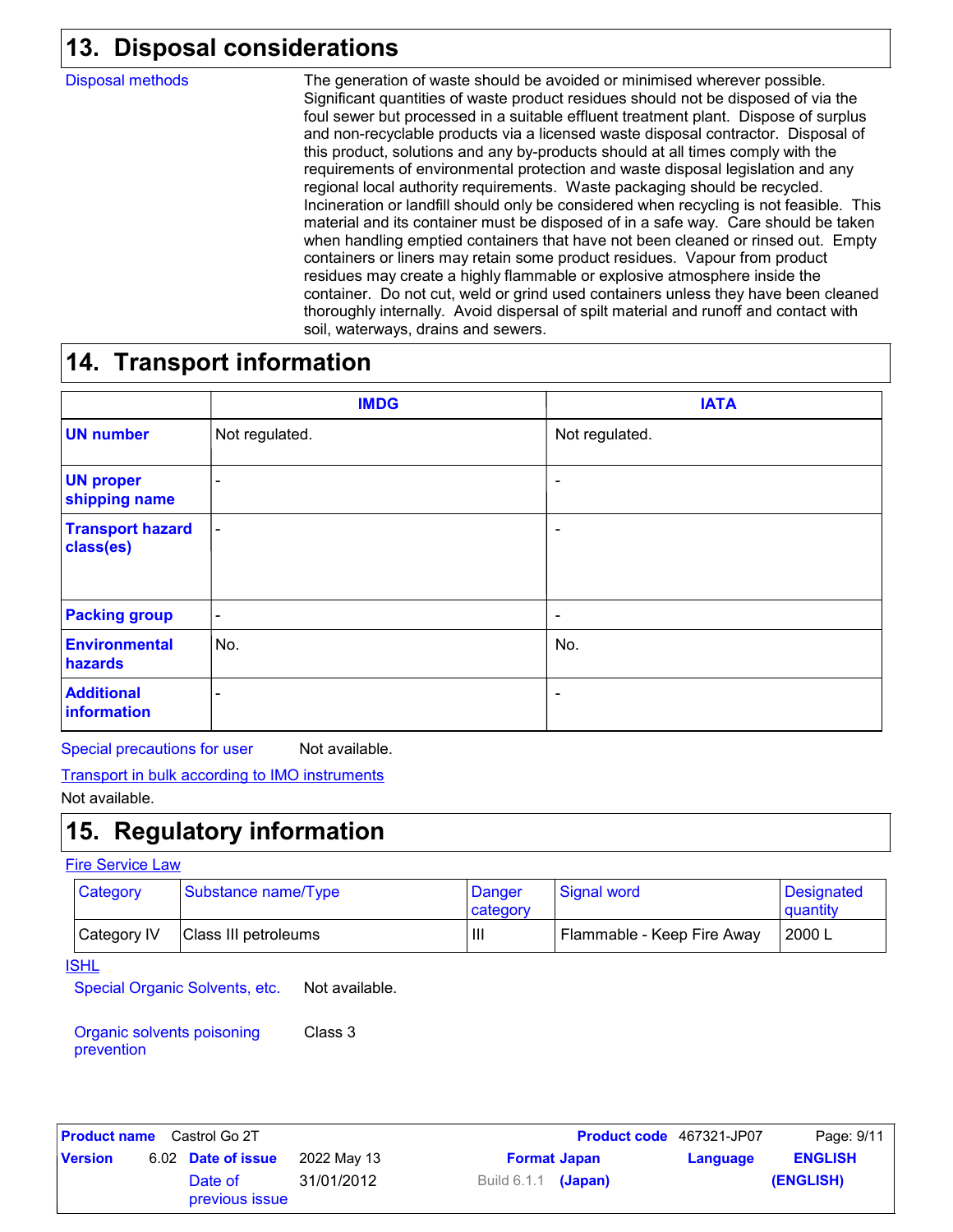## **Disposal considerations 13.**

Disposal methods

The generation of waste should be avoided or minimised wherever possible. Significant quantities of waste product residues should not be disposed of via the foul sewer but processed in a suitable effluent treatment plant. Dispose of surplus and non-recyclable products via a licensed waste disposal contractor. Disposal of this product, solutions and any by-products should at all times comply with the requirements of environmental protection and waste disposal legislation and any regional local authority requirements. Waste packaging should be recycled. Incineration or landfill should only be considered when recycling is not feasible. This material and its container must be disposed of in a safe way. Care should be taken when handling emptied containers that have not been cleaned or rinsed out. Empty containers or liners may retain some product residues. Vapour from product residues may create a highly flammable or explosive atmosphere inside the container. Do not cut, weld or grind used containers unless they have been cleaned thoroughly internally. Avoid dispersal of spilt material and runoff and contact with soil, waterways, drains and sewers.

## **14. Transport information**

|                                      | <b>IMDG</b>              | <b>IATA</b>              |
|--------------------------------------|--------------------------|--------------------------|
| <b>UN number</b>                     | Not regulated.           | Not regulated.           |
| <b>UN proper</b><br>shipping name    | $\overline{\phantom{0}}$ | $\overline{\phantom{a}}$ |
| <b>Transport hazard</b><br>class(es) | $\overline{\phantom{a}}$ | $\overline{\phantom{a}}$ |
| <b>Packing group</b>                 | ۰                        | ۰                        |
| <b>Environmental</b><br>hazards      | No.                      | No.                      |
| <b>Additional</b><br>information     | -                        | ۰                        |

Special precautions for user Not available.

Transport in bulk according to IMO instruments

Not available.

## **15. Regulatory information**

#### Fire Service Law

| Category    | Substance name/Type_ | Danger<br>category | <b>Signal word</b>         | <b>Designated</b><br>quantity |
|-------------|----------------------|--------------------|----------------------------|-------------------------------|
| Category IV | Class III petroleums | Ш                  | Flammable - Keep Fire Away | 2000 L                        |

#### **ISHL**

Special Organic Solvents, etc. Not available.

Organic solvents poisoning prevention Class 3

| <b>Product name</b> Castrol Go 2T |  |                           |             |                       | <b>Product code</b> 467321-JP07 | Page: 9/11 |                |
|-----------------------------------|--|---------------------------|-------------|-----------------------|---------------------------------|------------|----------------|
| <b>Version</b>                    |  | 6.02 Date of issue        | 2022 May 13 |                       | <b>Format Japan</b>             | Language   | <b>ENGLISH</b> |
|                                   |  | Date of<br>previous issue | 31/01/2012  | Build $6.1.1$ (Japan) |                                 |            | (ENGLISH)      |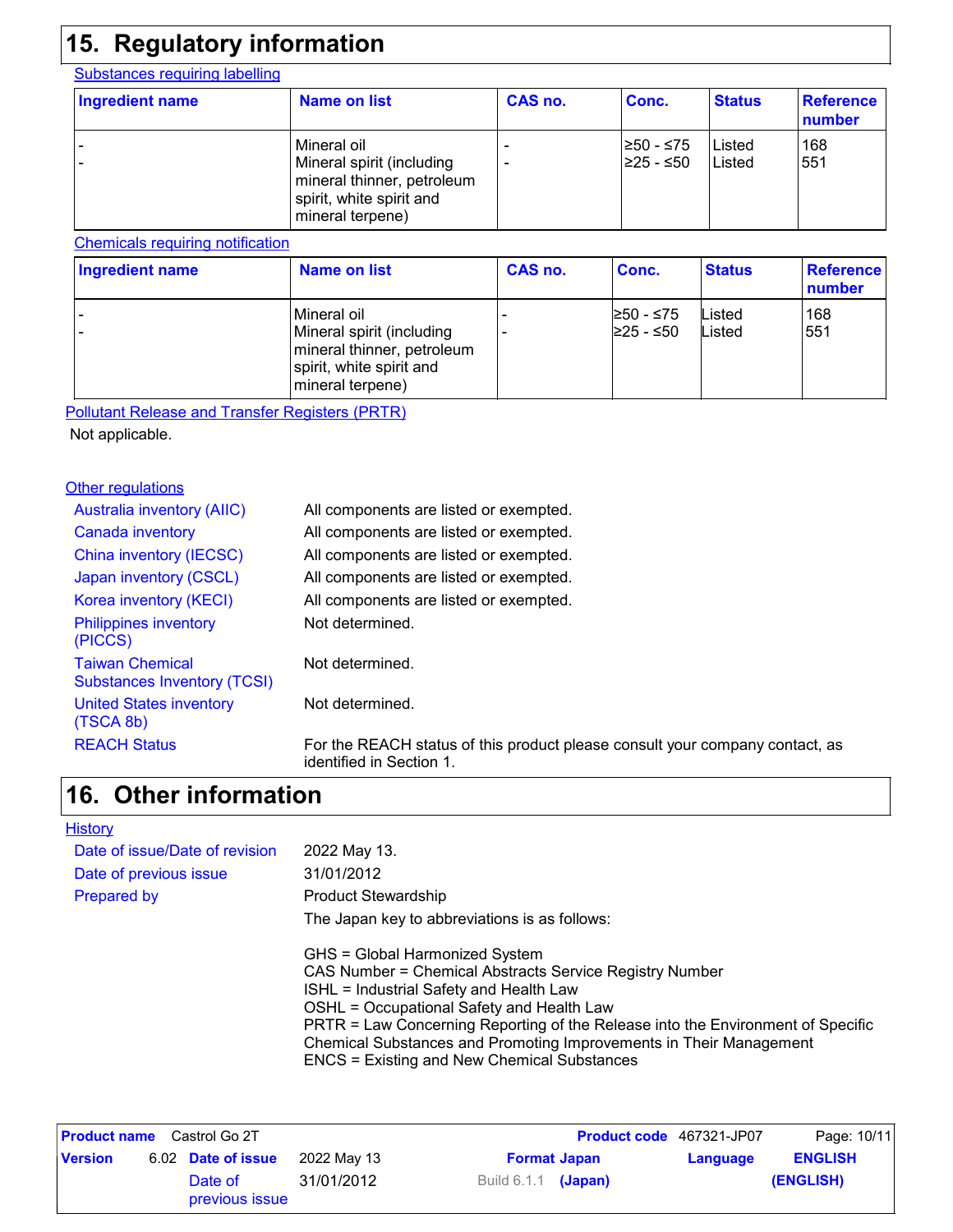## **15. Regulatory information**

#### Substances requiring labelling

| Ingredient name | Name on list                                                                                                           | CAS no. | Conc.                   | <b>Status</b>    | <b>Reference</b><br>number |
|-----------------|------------------------------------------------------------------------------------------------------------------------|---------|-------------------------|------------------|----------------------------|
|                 | Mineral oil<br>Mineral spirit (including<br>mineral thinner, petroleum<br>spirit, white spirit and<br>mineral terpene) | -<br>-  | I≥50 - ≤75<br>225 - ≤50 | Listed<br>Listed | 168<br>551                 |

#### Chemicals requiring notification

| Ingredient name | Name on list                                                                                                             | CAS no. | Conc.                  | <b>Status</b>    | Reference<br>number |
|-----------------|--------------------------------------------------------------------------------------------------------------------------|---------|------------------------|------------------|---------------------|
|                 | l Mineral oil<br>Mineral spirit (including<br>mineral thinner, petroleum<br>spirit, white spirit and<br>mineral terpene) |         | ≥50 - ≤75<br>≥25 - ≤50 | Listed<br>Listed | 168<br>551          |

Pollutant Release and Transfer Registers (PRTR)

Not applicable.

#### **Other regulations**

| <b>Australia inventory (AIIC)</b>                            | All components are listed or exempted.                                                                   |
|--------------------------------------------------------------|----------------------------------------------------------------------------------------------------------|
| Canada inventory                                             | All components are listed or exempted.                                                                   |
| China inventory (IECSC)                                      | All components are listed or exempted.                                                                   |
| Japan inventory (CSCL)                                       | All components are listed or exempted.                                                                   |
| Korea inventory (KECI)                                       | All components are listed or exempted.                                                                   |
| <b>Philippines inventory</b><br>(PICCS)                      | Not determined.                                                                                          |
| <b>Taiwan Chemical</b><br><b>Substances Inventory (TCSI)</b> | Not determined.                                                                                          |
| <b>United States inventory</b><br>(TSCA 8b)                  | Not determined.                                                                                          |
| <b>REACH Status</b>                                          | For the REACH status of this product please consult your company contact, as<br>identified in Section 1. |

### **Other information 16.**

#### **History**

| Date of issue/Date of revision | 2022 May 13.                                                                    |
|--------------------------------|---------------------------------------------------------------------------------|
| Date of previous issue         | 31/01/2012                                                                      |
| <b>Prepared by</b>             | <b>Product Stewardship</b>                                                      |
|                                | The Japan key to abbreviations is as follows:                                   |
|                                | GHS = Global Harmonized System                                                  |
|                                | CAS Number = Chemical Abstracts Service Registry Number                         |
|                                | ISHL = Industrial Safety and Health Law                                         |
|                                | OSHL = Occupational Safety and Health Law                                       |
|                                | PRTR = Law Concerning Reporting of the Release into the Environment of Specific |
|                                | Chemical Substances and Promoting Improvements in Their Management              |
|                                | <b>ENCS = Existing and New Chemical Substances</b>                              |
|                                |                                                                                 |

| <b>Product name</b> Castrol Go 2T |  |                           |             |                            | <b>Product code</b> 467321-JP07 | Page: 10/11 |                |
|-----------------------------------|--|---------------------------|-------------|----------------------------|---------------------------------|-------------|----------------|
| <b>Version</b>                    |  | 6.02 Date of issue        | 2022 May 13 |                            | <b>Format Japan</b>             | Language    | <b>ENGLISH</b> |
|                                   |  | Date of<br>previous issue | 31/01/2012  | Build 6.1.1 <b>(Japan)</b> |                                 |             | (ENGLISH)      |